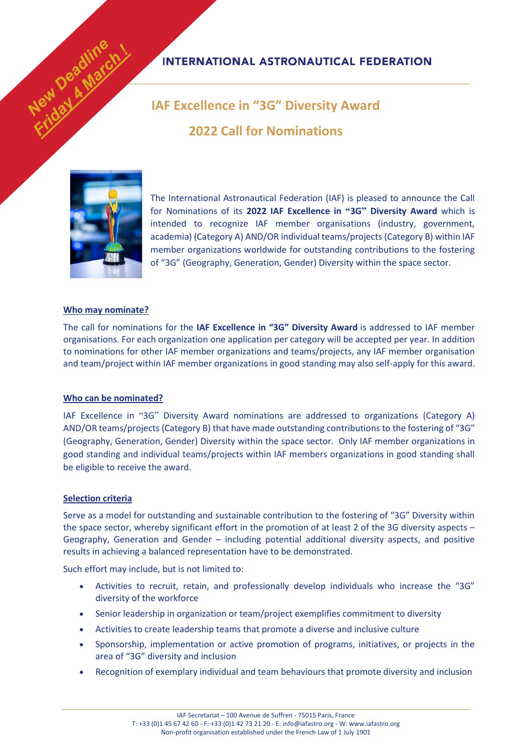# **INTERNATIONAL ASTRONAUTICAL FEDERATION**

# **IAF Excellence in "3G" Diversity Award**

# **2022 Call for Nominations**



New Deadline on

The International Astronautical Federation (IAF) is pleased to announce the Call for Nominations of its **2022 IAF Excellence in "3G" Diversity Award** which is intended to recognize IAF member organisations (industry, government, academia) (Category A) AND/OR individual teams/projects (Category B) within IAF member organizations worldwide for outstanding contributions to the fostering of "3G" (Geography, Generation, Gender) Diversity within the space sector.

#### **Who may nominate?**

The call for nominations for the **IAF Excellence in "3G" Diversity Award** is addressed to IAF member organisations. For each organization one application per category will be accepted per year. In addition to nominations for other IAF member organizations and teams/projects, any IAF member organisation and team/project within IAF member organizations in good standing may also self-apply for this award.

## **Who can be nominated?**

IAF Excellence in "3G" Diversity Award nominations are addressed to organizations (Category A) AND/OR teams/projects (Category B) that have made outstanding contributions to the fostering of "3G" (Geography, Generation, Gender) Diversity within the space sector. Only IAF member organizations in good standing and individual teams/projects within IAF members organizations in good standing shall be eligible to receive the award.

## **Selection criteria**

Serve as a model for outstanding and sustainable contribution to the fostering of "3G" Diversity within the space sector, whereby significant effort in the promotion of at least 2 of the 3G diversity aspects – Geography, Generation and Gender – including potential additional diversity aspects, and positive results in achieving a balanced representation have to be demonstrated.

Such effort may include, but is not limited to:

- Activities to recruit, retain, and professionally develop individuals who increase the "3G" diversity of the workforce
- Senior leadership in organization or team/project exemplifies commitment to diversity
- Activities to create leadership teams that promote a diverse and inclusive culture
- Sponsorship, implementation or active promotion of programs, initiatives, or projects in the area of "3G" diversity and inclusion
- Recognition of exemplary individual and team behaviours that promote diversity and inclusion